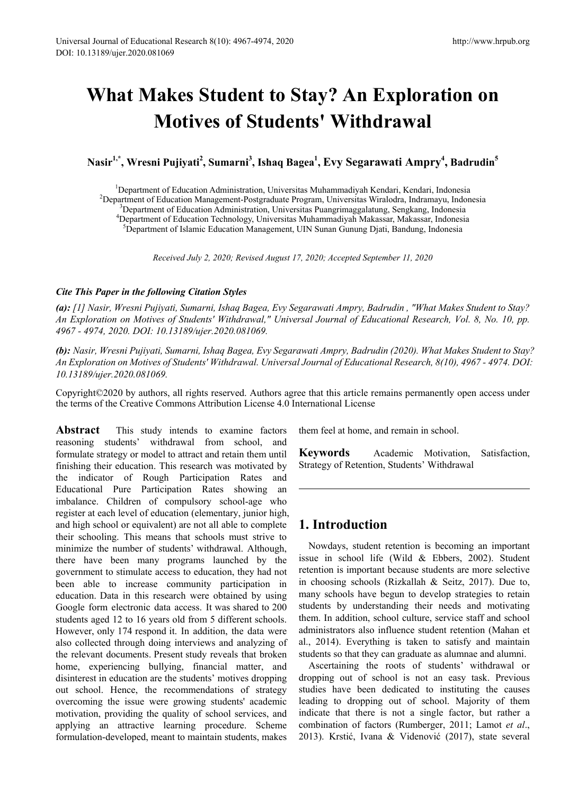# **What Makes Student to Stay? An Exploration on Motives of Students' Withdrawal**

 $\mathbf{N}$ asir<sup>1,\*</sup>, Wresni Pujiyati<sup>2</sup>, Sumarni<sup>3</sup>, Ishaq Bagea<sup>1</sup>, Evy Segarawati Ampry<sup>4</sup>, Badrudin<sup>5</sup>

<sup>1</sup>Department of Education Administration, Universitas Muhammadiyah Kendari, Kendari, Indonesia<sup>2</sup>Department of Education Management-Postgraduate Program Universitas Wiralogram Indonesia<sup>2</sup> <sup>2</sup>Department of Education Management-Postgraduate Program, Universitas Wiralodra, Indramayu, Indonesia <sup>3</sup>Department of Education Administration, Universitas Puangrimaggalatung, Sengkang, Indonesia Department of Education Technology, Universitas Muhammadiyah Makassar, Makassar, Indonesia <sup>5</sup>  ${}^{5}$ Department of Islamic Education Management, UIN Sunan Gunung Djati, Bandung, Indonesia

*Received July 2, 2020; Revised August 17, 2020; Accepted September 11, 2020*

### *Cite This Paper in the following Citation Styles*

*(a): [1] Nasir, Wresni Pujiyati, Sumarni, Ishaq Bagea, Evy Segarawati Ampry, Badrudin , "What Makes Student to Stay? An Exploration on Motives of Students' Withdrawal," Universal Journal of Educational Research, Vol. 8, No. 10, pp. 4967 - 4974, 2020. DOI: 10.13189/ujer.2020.081069.* 

*(b): Nasir, Wresni Pujiyati, Sumarni, Ishaq Bagea, Evy Segarawati Ampry, Badrudin (2020). What Makes Student to Stay? An Exploration on Motives of Students' Withdrawal. Universal Journal of Educational Research, 8(10), 4967 - 4974. DOI: 10.13189/ujer.2020.081069.* 

Copyright©2020 by authors, all rights reserved. Authors agree that this article remains permanently open access under the terms of the Creative Commons Attribution License 4.0 International License

**Abstract** This study intends to examine factors reasoning students' withdrawal from school, and formulate strategy or model to attract and retain them until finishing their education. This research was motivated by the indicator of Rough Participation Rates and Educational Pure Participation Rates showing an imbalance. Children of compulsory school-age who register at each level of education (elementary, junior high, and high school or equivalent) are not all able to complete their schooling. This means that schools must strive to minimize the number of students' withdrawal. Although, there have been many programs launched by the government to stimulate access to education, they had not been able to increase community participation in education. Data in this research were obtained by using Google form electronic data access. It was shared to 200 students aged 12 to 16 years old from 5 different schools. However, only 174 respond it. In addition, the data were also collected through doing interviews and analyzing of the relevant documents. Present study reveals that broken home, experiencing bullying, financial matter, and disinterest in education are the students' motives dropping out school. Hence, the recommendations of strategy overcoming the issue were growing students' academic motivation, providing the quality of school services, and applying an attractive learning procedure. Scheme formulation-developed, meant to maintain students, makes

them feel at home, and remain in school.

**Keywords** Academic Motivation, Satisfaction, Strategy of Retention, Students' Withdrawal

## **1. Introduction**

Nowdays, student retention is becoming an important issue in school life (Wild & Ebbers, 2002). Student retention is important because students are more selective in choosing schools (Rizkallah & Seitz, 2017). Due to, many schools have begun to develop strategies to retain students by understanding their needs and motivating them. In addition, school culture, service staff and school administrators also influence student retention (Mahan et al., 2014). Everything is taken to satisfy and maintain students so that they can graduate as alumnae and alumni.

Ascertaining the roots of students' withdrawal or dropping out of school is not an easy task. Previous studies have been dedicated to instituting the causes leading to dropping out of school. Majority of them indicate that there is not a single factor, but rather a combination of factors (Rumberger, 2011; Lamot *et al*., 2013). Krstić, Ivana & Videnović (2017), state several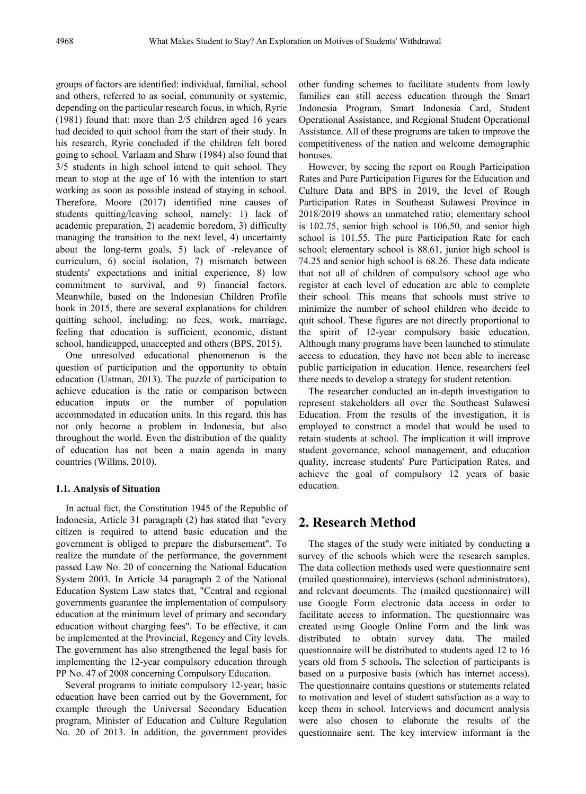groups of factors are identified: individual, familial, school and others, referred to as social, community or systemic, depending on the particular research focus, in which, Ryrie (1981) found that: more than 2/5 children aged 16 years had decided to quit school from the start of their study. In his research, Ryrie concluded if the children felt bored going to school. Varlaam and Shaw (1984) also found that 3/5 students in high school intend to quit school. They mean to stop at the age of 16 with the intention to start working as soon as possible instead of staying in school. Therefore, Moore (2017) identified nine causes of students quitting/leaving school, namely: 1) lack of academic preparation, 2) academic boredom, 3) difficulty managing the transition to the next level, 4) uncertainty about the long-term goals, 5) lack of -relevance of curriculum, 6) social isolation, 7) mismatch between students' expectations and initial experience, 8) low commitment to survival, and 9) financial factors. Meanwhile, based on the Indonesian Children Profile book in 2015, there are several explanations for children quitting school, including: no fees, work, marriage, feeling that education is sufficient, economic, distant school, handicapped, unaccepted and others (BPS, 2015).

One unresolved educational phenomenon is the question of participation and the opportunity to obtain education (Ustman, 2013). The puzzle of participation to achieve education is the ratio or comparison between education inputs or the number of population accommodated in education units. In this regard, this has not only become a problem in Indonesia, but also throughout the world. Even the distribution of the quality of education has not been a main agenda in many countries (Willms, 2010).

#### **1.1. Analysis of Situation**

In actual fact, the Constitution 1945 of the Republic of Indonesia, Article 31 paragraph (2) has stated that "every citizen is required to attend basic education and the government is obliged to prepare the disbursement". To realize the mandate of the performance, the government passed Law No. 20 of concerning the National Education System 2003. In Article 34 paragraph 2 of the National Education System Law states that, "Central and regional governments guarantee the implementation of compulsory education at the minimum level of primary and secondary education without charging fees". To be effective, it can be implemented at the Provincial, Regency and City levels. The government has also strengthened the legal basis for implementing the 12-year compulsory education through PP No. 47 of 2008 concerning Compulsory Education.

Several programs to initiate compulsory 12-year; basic education have been carried out by the Government, for example through the Universal Secondary Education program, Minister of Education and Culture Regulation No. 20 of 2013. In addition, the government provides

other funding schemes to facilitate students from lowly families can still access education through the Smart Indonesia Program, Smart Indonesia Card, Student Operational Assistance, and Regional Student Operational Assistance. All of these programs are taken to improve the competitiveness of the nation and welcome demographic bonuses.

However, by seeing the report on Rough Participation Rates and Pure Participation Figures for the Education and Culture Data and BPS in 2019, the level of Rough Participation Rates in Southeast Sulawesi Province in 2018/2019 shows an unmatched ratio; elementary school is 102.75, senior high school is 106.50, and senior high school is 101.55. The pure Participation Rate for each school; elementary school is 88.61, junior high school is 74.25 and senior high school is 68.26. These data indicate that not all of children of compulsory school age who register at each level of education are able to complete their school. This means that schools must strive to minimize the number of school children who decide to quit school. These figures are not directly proportional to the spirit of 12-year compulsory basic education. Although many programs have been launched to stimulate access to education, they have not been able to increase public participation in education. Hence, researchers feel there needs to develop a strategy for student retention.

The researcher conducted an in-depth investigation to represent stakeholders all over the Southeast Sulawesi Education. From the results of the investigation, it is employed to construct a model that would be used to retain students at school. The implication it will improve student governance, school management, and education quality, increase students' Pure Participation Rates, and achieve the goal of compulsory 12 years of basic education.

## **2. Research Method**

The stages of the study were initiated by conducting a survey of the schools which were the research samples. The data collection methods used were questionnaire sent (mailed questionnaire), interviews (school administrators), and relevant documents. The (mailed questionnaire) will use Google Form electronic data access in order to facilitate access to information. The questionnaire was created using Google Online Form and the link was distributed to obtain survey data. The mailed questionnaire will be distributed to students aged 12 to 16 years old from 5 schools**.** The selection of participants is based on a purposive basis (which has internet access). The questionnaire contains questions or statements related to motivation and level of student satisfaction as a way to keep them in school. Interviews and document analysis were also chosen to elaborate the results of the questionnaire sent. The key interview informant is the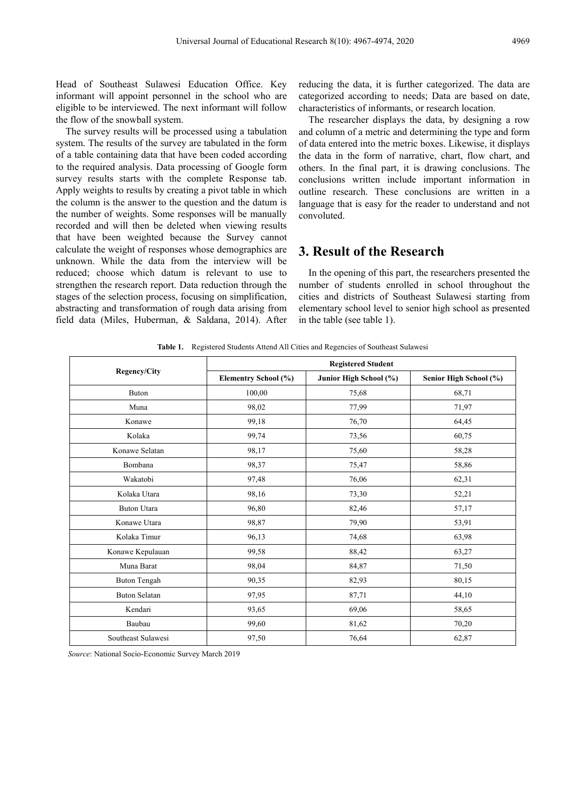Head of Southeast Sulawesi Education Office. Key informant will appoint personnel in the school who are eligible to be interviewed. The next informant will follow the flow of the snowball system.

The survey results will be processed using a tabulation system. The results of the survey are tabulated in the form of a table containing data that have been coded according to the required analysis. Data processing of Google form survey results starts with the complete Response tab. Apply weights to results by creating a pivot table in which the column is the answer to the question and the datum is the number of weights. Some responses will be manually recorded and will then be deleted when viewing results that have been weighted because the Survey cannot calculate the weight of responses whose demographics are unknown. While the data from the interview will be reduced; choose which datum is relevant to use to strengthen the research report. Data reduction through the stages of the selection process, focusing on simplification, abstracting and transformation of rough data arising from field data (Miles, Huberman, & Saldana, 2014). After

reducing the data, it is further categorized. The data are categorized according to needs; Data are based on date, characteristics of informants, or research location.

The researcher displays the data, by designing a row and column of a metric and determining the type and form of data entered into the metric boxes. Likewise, it displays the data in the form of narrative, chart, flow chart, and others. In the final part, it is drawing conclusions. The conclusions written include important information in outline research. These conclusions are written in a language that is easy for the reader to understand and not convoluted.

## **3. Result of the Research**

In the opening of this part, the researchers presented the number of students enrolled in school throughout the cities and districts of Southeast Sulawesi starting from elementary school level to senior high school as presented in the table (see table 1).

| <b>Regency/City</b>  | <b>Registered Student</b> |                        |                        |
|----------------------|---------------------------|------------------------|------------------------|
|                      | Elementry School (%)      | Junior High School (%) | Senior High School (%) |
| <b>Buton</b>         | 100,00                    | 75,68                  | 68,71                  |
| Muna                 | 98,02                     | 77,99                  | 71,97                  |
| Konawe               | 99,18                     | 76,70                  | 64,45                  |
| Kolaka               | 99,74                     | 73,56                  | 60,75                  |
| Konawe Selatan       | 98,17                     | 75,60                  | 58,28                  |
| Bombana              | 98,37                     | 75,47                  | 58,86                  |
| Wakatobi             | 97,48                     | 76,06                  | 62,31                  |
| Kolaka Utara         | 98,16                     | 73,30                  | 52,21                  |
| <b>Buton Utara</b>   | 96,80                     | 82,46                  | 57,17                  |
| Konawe Utara         | 98,87                     | 79,90                  | 53,91                  |
| Kolaka Timur         | 96,13                     | 74,68                  | 63,98                  |
| Konawe Kepulauan     | 99,58                     | 88,42                  | 63,27                  |
| Muna Barat           | 98,04                     | 84,87                  | 71,50                  |
| <b>Buton Tengah</b>  | 90,35                     | 82,93                  | 80,15                  |
| <b>Buton Selatan</b> | 97,95                     | 87,71                  | 44,10                  |
| Kendari              | 93,65                     | 69,06                  | 58,65                  |
| Baubau               | 99,60                     | 81,62                  | 70,20                  |
| Southeast Sulawesi   | 97,50                     | 76,64                  | 62,87                  |

**Table 1.** Registered Students Attend All Cities and Regencies of Southeast Sulawesi

*Source*: National Socio-Economic Survey March 2019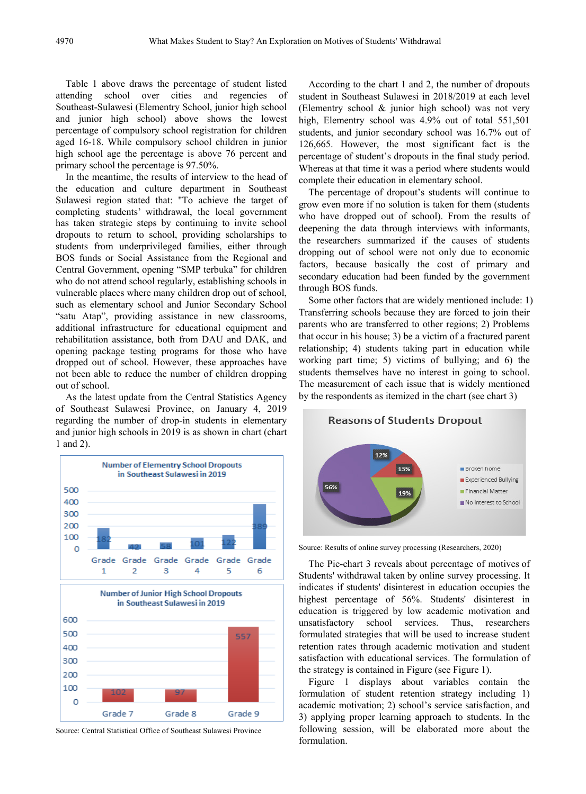Table 1 above draws the percentage of student listed attending school over cities and regencies of Southeast-Sulawesi (Elementry School, junior high school and junior high school) above shows the lowest percentage of compulsory school registration for children aged 16-18. While compulsory school children in junior high school age the percentage is above 76 percent and primary school the percentage is 97.50%.

In the meantime, the results of interview to the head of the education and culture department in Southeast Sulawesi region stated that: "To achieve the target of completing students' withdrawal, the local government has taken strategic steps by continuing to invite school dropouts to return to school, providing scholarships to students from underprivileged families, either through BOS funds or Social Assistance from the Regional and Central Government, opening "SMP terbuka" for children who do not attend school regularly, establishing schools in vulnerable places where many children drop out of school, such as elementary school and Junior Secondary School "satu Atap", providing assistance in new classrooms, additional infrastructure for educational equipment and rehabilitation assistance, both from DAU and DAK, and opening package testing programs for those who have dropped out of school. However, these approaches have not been able to reduce the number of children dropping out of school.

As the latest update from the Central Statistics Agency of Southeast Sulawesi Province, on January 4, 2019 regarding the number of drop-in students in elementary and junior high schools in 2019 is as shown in chart (chart 1 and 2).



Source: Central Statistical Office of Southeast Sulawesi Province

According to the chart 1 and 2, the number of dropouts student in Southeast Sulawesi in 2018/2019 at each level (Elementry school & junior high school) was not very high, Elementry school was 4.9% out of total 551,501 students, and junior secondary school was 16.7% out of 126,665. However, the most significant fact is the percentage of student's dropouts in the final study period. Whereas at that time it was a period where students would complete their education in elementary school.

The percentage of dropout's students will continue to grow even more if no solution is taken for them (students who have dropped out of school). From the results of deepening the data through interviews with informants, the researchers summarized if the causes of students dropping out of school were not only due to economic factors, because basically the cost of primary and secondary education had been funded by the government through BOS funds.

Some other factors that are widely mentioned include: 1) Transferring schools because they are forced to join their parents who are transferred to other regions; 2) Problems that occur in his house; 3) be a victim of a fractured parent relationship; 4) students taking part in education while working part time; 5) victims of bullying; and 6) the students themselves have no interest in going to school. The measurement of each issue that is widely mentioned by the respondents as itemized in the chart (see chart 3)



Source: Results of online survey processing (Researchers, 2020)

The Pie-chart 3 reveals about percentage of motives of Students' withdrawal taken by online survey processing. It indicates if students' disinterest in education occupies the highest percentage of 56%. Students' disinterest in education is triggered by low academic motivation and unsatisfactory school services. Thus, researchers formulated strategies that will be used to increase student retention rates through academic motivation and student satisfaction with educational services. The formulation of the strategy is contained in Figure (see Figure 1).

Figure 1 displays about variables contain the formulation of student retention strategy including 1) academic motivation; 2) school's service satisfaction, and 3) applying proper learning approach to students. In the following session, will be elaborated more about the formulation.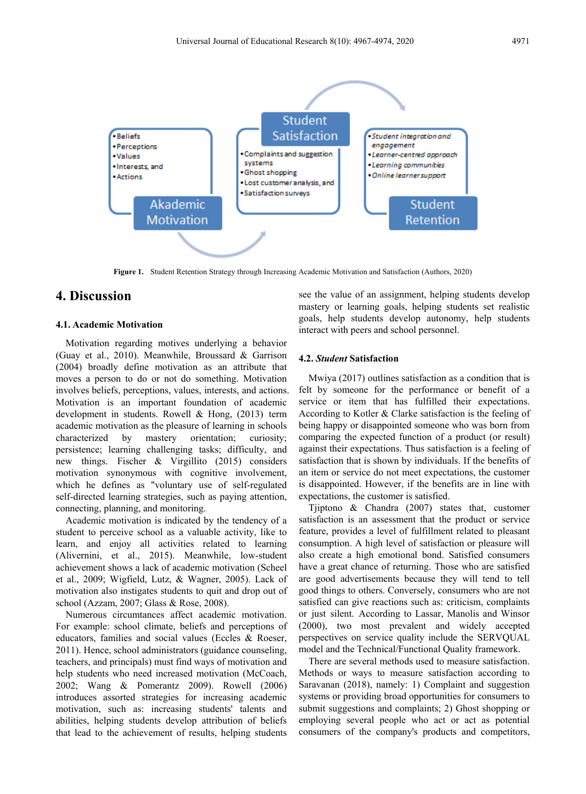

**Figure 1.** Student Retention Strategy through Increasing Academic Motivation and Satisfaction (Authors, 2020)

## **4. Discussion**

#### **4.1. Academic Motivation**

Motivation regarding motives underlying a behavior (Guay et al., 2010). Meanwhile, Broussard & Garrison (2004) broadly define motivation as an attribute that moves a person to do or not do something. Motivation involves beliefs, perceptions, values, interests, and actions. Motivation is an important foundation of academic development in students. Rowell & Hong, (2013) term academic motivation as the pleasure of learning in schools characterized by mastery orientation; curiosity; persistence; learning challenging tasks; difficulty, and new things. Fischer & Virgillito (2015) considers motivation synonymous with cognitive involvement, which he defines as "voluntary use of self-regulated self-directed learning strategies, such as paying attention, connecting, planning, and monitoring.

Academic motivation is indicated by the tendency of a student to perceive school as a valuable activity, like to learn, and enjoy all activities related to learning (Alivernini, et al., 2015). Meanwhile, low-student achievement shows a lack of academic motivation (Scheel et al., 2009; Wigfield, Lutz, & Wagner, 2005). Lack of motivation also instigates students to quit and drop out of school (Azzam, 2007; Glass & Rose, 2008).

Numerous circumtances affect academic motivation. For example: school climate, beliefs and perceptions of educators, families and social values (Eccles & Roeser, 2011). Hence, school administrators (guidance counseling, teachers, and principals) must find ways of motivation and help students who need increased motivation (McCoach, 2002; Wang & Pomerantz 2009). Rowell (2006) introduces assorted strategies for increasing academic motivation, such as: increasing students' talents and abilities, helping students develop attribution of beliefs that lead to the achievement of results, helping students

see the value of an assignment, helping students develop mastery or learning goals, helping students set realistic goals, help students develop autonomy, help students interact with peers and school personnel.

#### **4.2.** *Student* **Satisfaction**

Mwiya (2017) outlines satisfaction as a condition that is felt by someone for the performance or benefit of a service or item that has fulfilled their expectations. According to Kotler & Clarke satisfaction is the feeling of being happy or disappointed someone who was born from comparing the expected function of a product (or result) against their expectations. Thus satisfaction is a feeling of satisfaction that is shown by individuals. If the benefits of an item or service do not meet expectations, the customer is disappointed. However, if the benefits are in line with expectations, the customer is satisfied.

Tjiptono & Chandra (2007) states that, customer satisfaction is an assessment that the product or service feature, provides a level of fulfillment related to pleasant consumption. A high level of satisfaction or pleasure will also create a high emotional bond. Satisfied consumers have a great chance of returning. Those who are satisfied are good advertisements because they will tend to tell good things to others. Conversely, consumers who are not satisfied can give reactions such as: criticism, complaints or just silent. According to Lassar, Manolis and Winsor (2000), two most prevalent and widely accepted perspectives on service quality include the SERVQUAL model and the Technical/Functional Quality framework.

There are several methods used to measure satisfaction. Methods or ways to measure satisfaction according to Saravanan (2018), namely: 1) Complaint and suggestion systems or providing broad opportunities for consumers to submit suggestions and complaints; 2) Ghost shopping or employing several people who act or act as potential consumers of the company's products and competitors,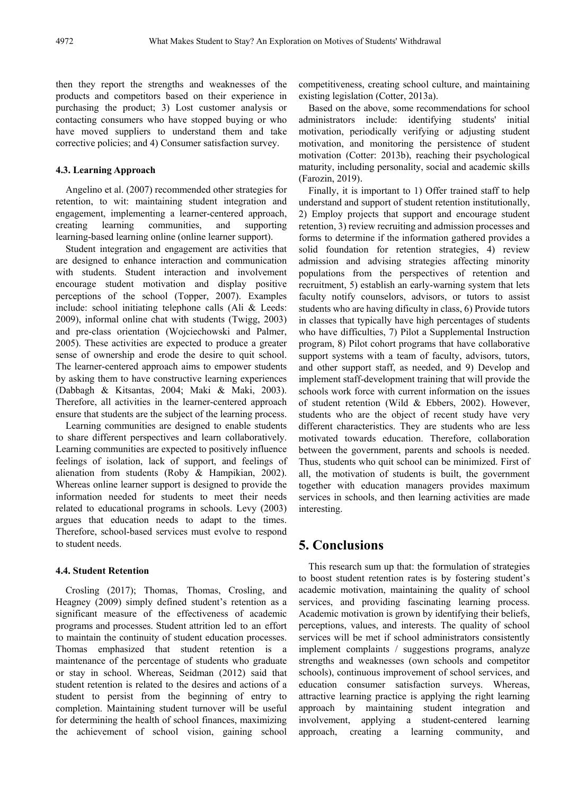then they report the strengths and weaknesses of the products and competitors based on their experience in purchasing the product; 3) Lost customer analysis or contacting consumers who have stopped buying or who have moved suppliers to understand them and take corrective policies; and 4) Consumer satisfaction survey.

#### **4.3. Learning Approach**

Angelino et al. (2007) recommended other strategies for retention, to wit: maintaining student integration and engagement, implementing a learner-centered approach, creating learning communities, and supporting learning-based learning online (online learner support).

Student integration and engagement are activities that are designed to enhance interaction and communication with students. Student interaction and involvement encourage student motivation and display positive perceptions of the school (Topper, 2007). Examples include: school initiating telephone calls (Ali & Leeds: 2009), informal online chat with students (Twigg, 2003) and pre-class orientation (Wojciechowski and Palmer, 2005). These activities are expected to produce a greater sense of ownership and erode the desire to quit school. The learner-centered approach aims to empower students by asking them to have constructive learning experiences (Dabbagh & Kitsantas, 2004; Maki & Maki, 2003). Therefore, all activities in the learner-centered approach ensure that students are the subject of the learning process.

Learning communities are designed to enable students to share different perspectives and learn collaboratively. Learning communities are expected to positively influence feelings of isolation, lack of support, and feelings of alienation from students (Roby & Hampikian, 2002). Whereas online learner support is designed to provide the information needed for students to meet their needs related to educational programs in schools. Levy (2003) argues that education needs to adapt to the times. Therefore, school-based services must evolve to respond to student needs.

#### **4.4. Student Retention**

Crosling (2017); Thomas, Thomas, Crosling, and Heagney (2009) simply defined student's retention as a significant measure of the effectiveness of academic programs and processes. Student attrition led to an effort to maintain the continuity of student education processes. Thomas emphasized that student retention is a maintenance of the percentage of students who graduate or stay in school. Whereas, Seidman (2012) said that student retention is related to the desires and actions of a student to persist from the beginning of entry to completion. Maintaining student turnover will be useful for determining the health of school finances, maximizing the achievement of school vision, gaining school

competitiveness, creating school culture, and maintaining existing legislation (Cotter, 2013a).

Based on the above, some recommendations for school administrators include: identifying students' initial motivation, periodically verifying or adjusting student motivation, and monitoring the persistence of student motivation (Cotter: 2013b), reaching their psychological maturity, including personality, social and academic skills (Farozin, 2019).

Finally, it is important to 1) Offer trained staff to help understand and support of student retention institutionally, 2) Employ projects that support and encourage student retention, 3) review recruiting and admission processes and forms to determine if the information gathered provides a solid foundation for retention strategies, 4) review admission and advising strategies affecting minority populations from the perspectives of retention and recruitment, 5) establish an early-warning system that lets faculty notify counselors, advisors, or tutors to assist students who are having dificulty in class, 6) Provide tutors in classes that typically have high percentages of students who have difficulties, 7) Pilot a Supplemental Instruction program, 8) Pilot cohort programs that have collaborative support systems with a team of faculty, advisors, tutors, and other support staff, as needed, and 9) Develop and implement staff-development training that will provide the schools work force with current information on the issues of student retention (Wild & Ebbers, 2002). However, students who are the object of recent study have very different characteristics. They are students who are less motivated towards education. Therefore, collaboration between the government, parents and schools is needed. Thus, students who quit school can be minimized. First of all, the motivation of students is built, the government together with education managers provides maximum services in schools, and then learning activities are made interesting.

## **5. Conclusions**

This research sum up that: the formulation of strategies to boost student retention rates is by fostering student's academic motivation, maintaining the quality of school services, and providing fascinating learning process. Academic motivation is grown by identifying their beliefs, perceptions, values, and interests. The quality of school services will be met if school administrators consistently implement complaints / suggestions programs, analyze strengths and weaknesses (own schools and competitor schools), continuous improvement of school services, and education consumer satisfaction surveys. Whereas, attractive learning practice is applying the right learning approach by maintaining student integration and involvement, applying a student-centered learning approach, creating a learning community, and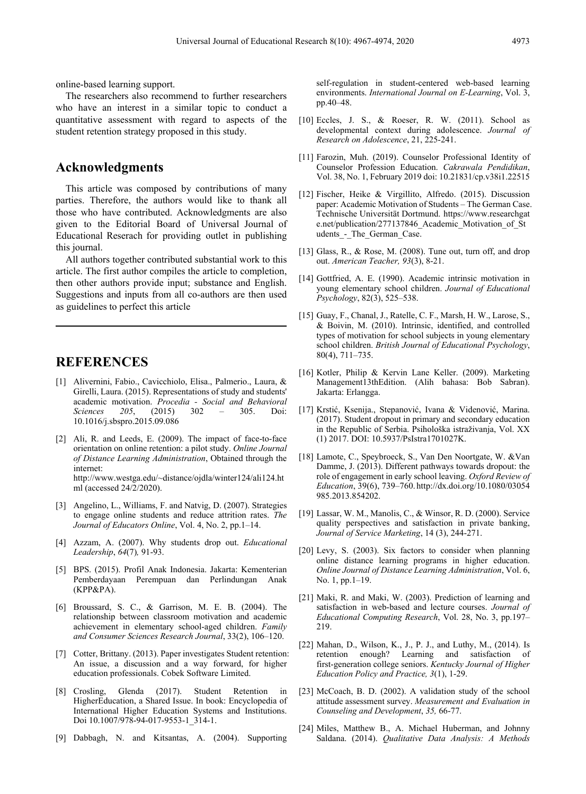online-based learning support.

The researchers also recommend to further researchers who have an interest in a similar topic to conduct a quantitative assessment with regard to aspects of the student retention strategy proposed in this study.

## **Acknowledgments**

This article was composed by contributions of many parties. Therefore, the authors would like to thank all those who have contributed. Acknowledgments are also given to the Editorial Board of Universal Journal of Educational Reserach for providing outlet in publishing this journal.

All authors together contributed substantial work to this article. The first author compiles the article to completion, then other authors provide input; substance and English. Suggestions and inputs from all co-authors are then used as guidelines to perfect this article

## **REFERENCES**

- [1] Alivernini, Fabio., Cavicchiolo, Elisa., Palmerio., Laura, & Girelli, Laura. (2015). Representations of study and students' academic motivation. *Procedia - Social and Behavioral Sciences 205*, (2015) 302 – 305. Doi: 10.1016/j.sbspro.2015.09.086
- [2] Ali, R. and Leeds, E. (2009). The impact of face-to-face orientation on online retention: a pilot study. *Online Journal of Distance Learning Administration*, Obtained through the internet: http://www.westga.edu/~distance/ojdla/winter124/ali124.ht ml (accessed 24/2/2020).
- [3] Angelino, L., Williams, F. and Natvig, D. (2007). Strategies to engage online students and reduce attrition rates. *The Journal of Educators Online*, Vol. 4, No. 2, pp.1–14.
- [4] Azzam, A. (2007). Why students drop out. *Educational Leadership*, *64*(7)*,* 91-93.
- [5] BPS. (2015). Profil Anak Indonesia. Jakarta: Kementerian Pemberdayaan Perempuan dan Perlindungan Anak (KPP&PA).
- [6] Broussard, S. C., & Garrison, M. E. B. (2004). The relationship between classroom motivation and academic achievement in elementary school-aged children. *Family and Consumer Sciences Research Journal*, 33(2), 106–120.
- [7] Cotter, Brittany. (2013). Paper investigates Student retention: An issue, a discussion and a way forward, for higher education professionals. Cobek Software Limited.
- [8] Crosling, Glenda (2017). Student Retention in HigherEducation, a Shared Issue. In book: Encyclopedia of International Higher Education Systems and Institutions. Doi 10.1007/978-94-017-9553-1\_314-1.
- [9] Dabbagh, N. and Kitsantas, A. (2004). Supporting

self-regulation in student-centered web-based learning environments. *International Journal on E-Learning*, Vol. 3, pp.40–48.

- [10] Eccles, J. S., & Roeser, R. W. (2011). School as developmental context during adolescence. *Journal of Research on Adolescence*, 21, 225-241.
- [11] Farozin, Muh. (2019). Counselor Professional Identity of Counselor Profession Education. *Cakrawala Pendidikan*, Vol. 38, No. 1, February 2019 doi: 10.21831/cp.v38i1.22515
- [12] Fischer, Heike & Virgillito, Alfredo. (2015). Discussion paper: Academic Motivation of Students – The German Case. Technische Universität Dortmund. https://www.researchgat e.net/publication/277137846\_Academic\_Motivation\_of\_St udents\_-\_The\_German\_Case.
- [13] Glass, R., & Rose, M. (2008). Tune out, turn off, and drop out. *American Teacher, 93*(3), 8-21.
- [14] Gottfried, A. E. (1990). Academic intrinsic motivation in young elementary school children. *Journal of Educational Psychology*, 82(3), 525–538.
- [15] Guay, F., Chanal, J., Ratelle, C. F., Marsh, H. W., Larose, S., & Boivin, M. (2010). Intrinsic, identified, and controlled types of motivation for school subjects in young elementary school children. *British Journal of Educational Psychology*, 80(4), 711–735.
- [16] Kotler, Philip & Kervin Lane Keller. (2009). Marketing Management13thEdition. (Alih bahasa: Bob Sabran). Jakarta: Erlangga.
- [17] Krstić, Ksenija., Stepanović, Ivana & Videnović, Marina. (2017). Student dropout in primary and secondary education in the Republic of Serbia. Psihološka istraživanja, Vol. XX (1) 2017. DOI: 10.5937/PsIstra1701027K.
- [18] Lamote, C., Speybroeck, S., Van Den Noortgate, W. &Van Damme, J. (2013). Different pathways towards dropout: the role of engagement in early school leaving. *Oxford Review of Education*, 39(6), 739–760. http://dx.doi.org/10.1080/03054 985.2013.854202.
- [19] Lassar, W. M., Manolis, C., & Winsor, R. D. (2000). Service quality perspectives and satisfaction in private banking, *Journal of Service Marketing*, 14 (3), 244-271.
- [20] Levy, S. (2003). Six factors to consider when planning online distance learning programs in higher education. *Online Journal of Distance Learning Administration*, Vol. 6, No. 1, pp.1–19.
- [21] Maki, R. and Maki, W. (2003). Prediction of learning and satisfaction in web-based and lecture courses. *Journal of Educational Computing Research*, Vol. 28, No. 3, pp.197– 219.
- [22] Mahan, D., Wilson, K., J., P. J., and Luthy, M., (2014). Is retention enough? Learning and satisfaction of first-generation college seniors. *Kentucky Journal of Higher Education Policy and Practice, 3*(1), 1-29.
- [23] McCoach, B. D. (2002). A validation study of the school attitude assessment survey. *Measurement and Evaluation in Counseling and Development*, *35,* 66-77.
- [24] Miles, Matthew B., A. Michael Huberman, and Johnny Saldana. (2014). *Qualitative Data Analysis: A Methods*